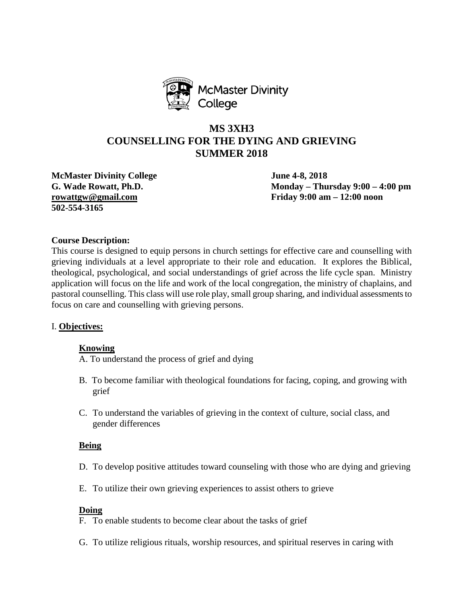

# **MS 3XH3 COUNSELLING FOR THE DYING AND GRIEVING SUMMER 2018**

**McMaster Divinity College June 4-8, 2018 502-554-3165**

**G. Wade Rowatt, Ph.D. Monday – Thursday 9:00 – 4:00 pm [rowattgw@gmail.com](mailto:rowattgw@gmail.com) Friday 9:00 am – 12:00 noon**

# **Course Description:**

This course is designed to equip persons in church settings for effective care and counselling with grieving individuals at a level appropriate to their role and education. It explores the Biblical, theological, psychological, and social understandings of grief across the life cycle span. Ministry application will focus on the life and work of the local congregation, the ministry of chaplains, and pastoral counselling. This class will use role play, small group sharing, and individual assessments to focus on care and counselling with grieving persons.

# I. **Objectives:**

# **Knowing**

A. To understand the process of grief and dying

- B. To become familiar with theological foundations for facing, coping, and growing with grief
- C. To understand the variables of grieving in the context of culture, social class, and gender differences

#### **Being**

- D. To develop positive attitudes toward counseling with those who are dying and grieving
- E. To utilize their own grieving experiences to assist others to grieve

#### **Doing**

- F. To enable students to become clear about the tasks of grief
- G. To utilize religious rituals, worship resources, and spiritual reserves in caring with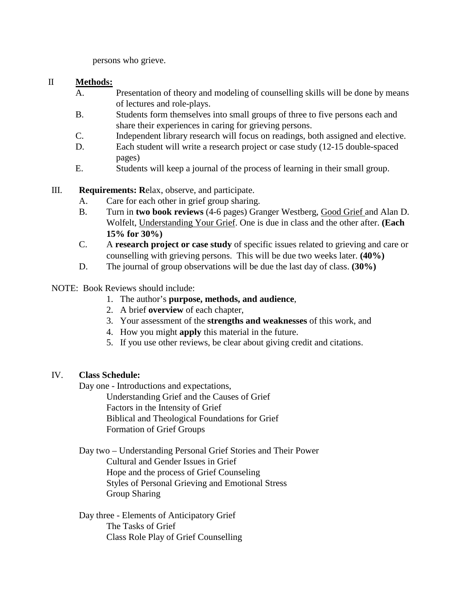persons who grieve.

# II **Methods:**

- A. Presentation of theory and modeling of counselling skills will be done by means of lectures and role-plays.
- B. Students form themselves into small groups of three to five persons each and share their experiences in caring for grieving persons.
- C. Independent library research will focus on readings, both assigned and elective.
- D. Each student will write a research project or case study (12-15 double-spaced pages)
- E. Students will keep a journal of the process of learning in their small group.
- III. **Requirements: R**elax, observe, and participate.
	- A. Care for each other in grief group sharing.
	- B. Turn in **two book reviews** (4-6 pages) Granger Westberg, Good Grief and Alan D. Wolfelt, Understanding Your Grief. One is due in class and the other after. **(Each 15% for 30%)**
	- C. A **research project or case study** of specific issues related to grieving and care or counselling with grieving persons. This will be due two weeks later. **(40%)**
	- D. The journal of group observations will be due the last day of class. **(30%)**
- NOTE: Book Reviews should include:
	- 1. The author's **purpose, methods, and audience**,
	- 2. A brief **overview** of each chapter,
	- 3. Your assessment of the **strengths and weaknesses** of this work, and
	- 4. How you might **apply** this material in the future.
	- 5. If you use other reviews, be clear about giving credit and citations.

# IV. **Class Schedule:**

Day one - Introductions and expectations,

Understanding Grief and the Causes of Grief Factors in the Intensity of Grief Biblical and Theological Foundations for Grief Formation of Grief Groups

Day two – Understanding Personal Grief Stories and Their Power Cultural and Gender Issues in Grief Hope and the process of Grief Counseling Styles of Personal Grieving and Emotional Stress Group Sharing

Day three - Elements of Anticipatory Grief The Tasks of Grief Class Role Play of Grief Counselling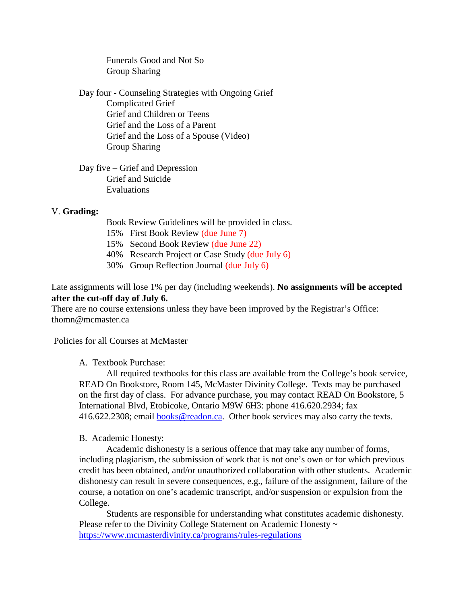Funerals Good and Not So Group Sharing

Day four - Counseling Strategies with Ongoing Grief Complicated Grief Grief and Children or Teens Grief and the Loss of a Parent Grief and the Loss of a Spouse (Video) Group Sharing

Day five – Grief and Depression Grief and Suicide Evaluations

# V. **Grading:**

- Book Review Guidelines will be provided in class.
- 15% First Book Review (due June 7)
- 15% Second Book Review (due June 22)
- 40% Research Project or Case Study (due July 6)
- 30% Group Reflection Journal (due July 6)

Late assignments will lose 1% per day (including weekends). **No assignments will be accepted after the cut-off day of July 6.**

There are no course extensions unless they have been improved by the Registrar's Office: thomn@mcmaster.ca

Policies for all Courses at McMaster

A. Textbook Purchase:

All required textbooks for this class are available from the College's book service, READ On Bookstore, Room 145, McMaster Divinity College. Texts may be purchased on the first day of class. For advance purchase, you may contact READ On Bookstore, 5 International Blvd, Etobicoke, Ontario M9W 6H3: phone 416.620.2934; fax 416.622.2308; email **books@readon.ca.** Other book services may also carry the texts.

# B. Academic Honesty:

Academic dishonesty is a serious offence that may take any number of forms, including plagiarism, the submission of work that is not one's own or for which previous credit has been obtained, and/or unauthorized collaboration with other students. Academic dishonesty can result in severe consequences, e.g., failure of the assignment, failure of the course, a notation on one's academic transcript, and/or suspension or expulsion from the College.

Students are responsible for understanding what constitutes academic dishonesty. Please refer to the Divinity College Statement on Academic Honesty ~ <https://www.mcmasterdivinity.ca/programs/rules-regulations>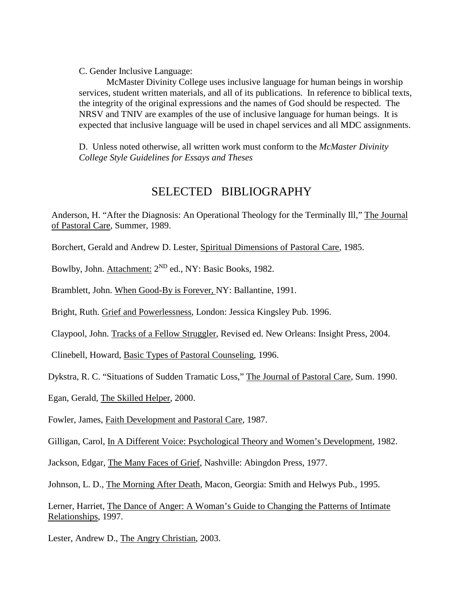C. Gender Inclusive Language:

McMaster Divinity College uses inclusive language for human beings in worship services, student written materials, and all of its publications. In reference to biblical texts, the integrity of the original expressions and the names of God should be respected. The NRSV and TNIV are examples of the use of inclusive language for human beings. It is expected that inclusive language will be used in chapel services and all MDC assignments.

D. Unless noted otherwise, all written work must conform to the *McMaster Divinity College Style Guidelines for Essays and Theses*

# SELECTED BIBLIOGRAPHY

Anderson, H. "After the Diagnosis: An Operational Theology for the Terminally Ill," The Journal of Pastoral Care, Summer, 1989.

Borchert, Gerald and Andrew D. Lester, Spiritual Dimensions of Pastoral Care, 1985.

Bowlby, John. Attachment: 2<sup>ND</sup> ed., NY: Basic Books, 1982.

Bramblett, John. When Good-By is Forever, NY: Ballantine, 1991.

Bright, Ruth. Grief and Powerlessness, London: Jessica Kingsley Pub. 1996.

Claypool, John. Tracks of a Fellow Struggler, Revised ed. New Orleans: Insight Press, 2004.

Clinebell, Howard, Basic Types of Pastoral Counseling, 1996.

Dykstra, R. C. "Situations of Sudden Tramatic Loss," The Journal of Pastoral Care, Sum. 1990.

Egan, Gerald, The Skilled Helper, 2000.

Fowler, James, Faith Development and Pastoral Care, 1987.

Gilligan, Carol, In A Different Voice: Psychological Theory and Women's Development, 1982.

Jackson, Edgar, The Many Faces of Grief, Nashville: Abingdon Press, 1977.

Johnson, L. D., The Morning After Death, Macon, Georgia: Smith and Helwys Pub., 1995.

Lerner, Harriet, The Dance of Anger: A Woman's Guide to Changing the Patterns of Intimate Relationships, 1997.

Lester, Andrew D., The Angry Christian, 2003.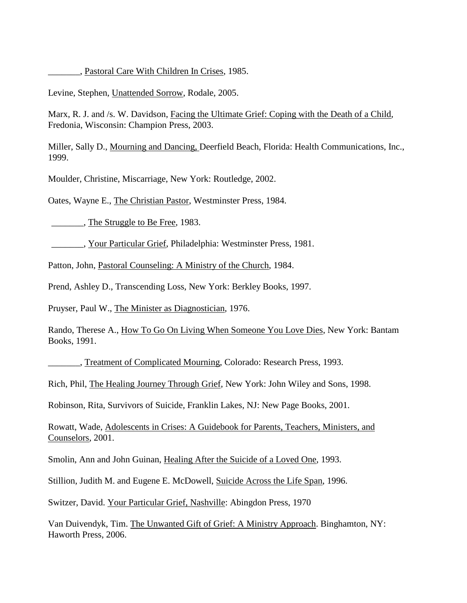\_\_\_\_\_\_\_, Pastoral Care With Children In Crises, 1985.

Levine, Stephen, Unattended Sorrow, Rodale, 2005.

Marx, R. J. and /s. W. Davidson, Facing the Ultimate Grief: Coping with the Death of a Child, Fredonia, Wisconsin: Champion Press, 2003.

Miller, Sally D., Mourning and Dancing, Deerfield Beach, Florida: Health Communications, Inc., 1999.

Moulder, Christine, Miscarriage, New York: Routledge, 2002.

Oates, Wayne E., The Christian Pastor, Westminster Press, 1984.

The Struggle to Be Free, 1983.

\_\_\_\_\_\_\_, Your Particular Grief, Philadelphia: Westminster Press, 1981.

Patton, John, Pastoral Counseling: A Ministry of the Church, 1984.

Prend, Ashley D., Transcending Loss, New York: Berkley Books, 1997.

Pruyser, Paul W., The Minister as Diagnostician, 1976.

Rando, Therese A., How To Go On Living When Someone You Love Dies, New York: Bantam Books, 1991.

Treatment of Complicated Mourning, Colorado: Research Press, 1993.

Rich, Phil, The Healing Journey Through Grief, New York: John Wiley and Sons, 1998.

Robinson, Rita, Survivors of Suicide, Franklin Lakes, NJ: New Page Books, 2001.

Rowatt, Wade, Adolescents in Crises: A Guidebook for Parents, Teachers, Ministers, and Counselors, 2001.

Smolin, Ann and John Guinan, Healing After the Suicide of a Loved One, 1993.

Stillion, Judith M. and Eugene E. McDowell, Suicide Across the Life Span, 1996.

Switzer, David. Your Particular Grief, Nashville: Abingdon Press, 1970

Van Duivendyk, Tim. The Unwanted Gift of Grief: A Ministry Approach. Binghamton, NY: Haworth Press, 2006.